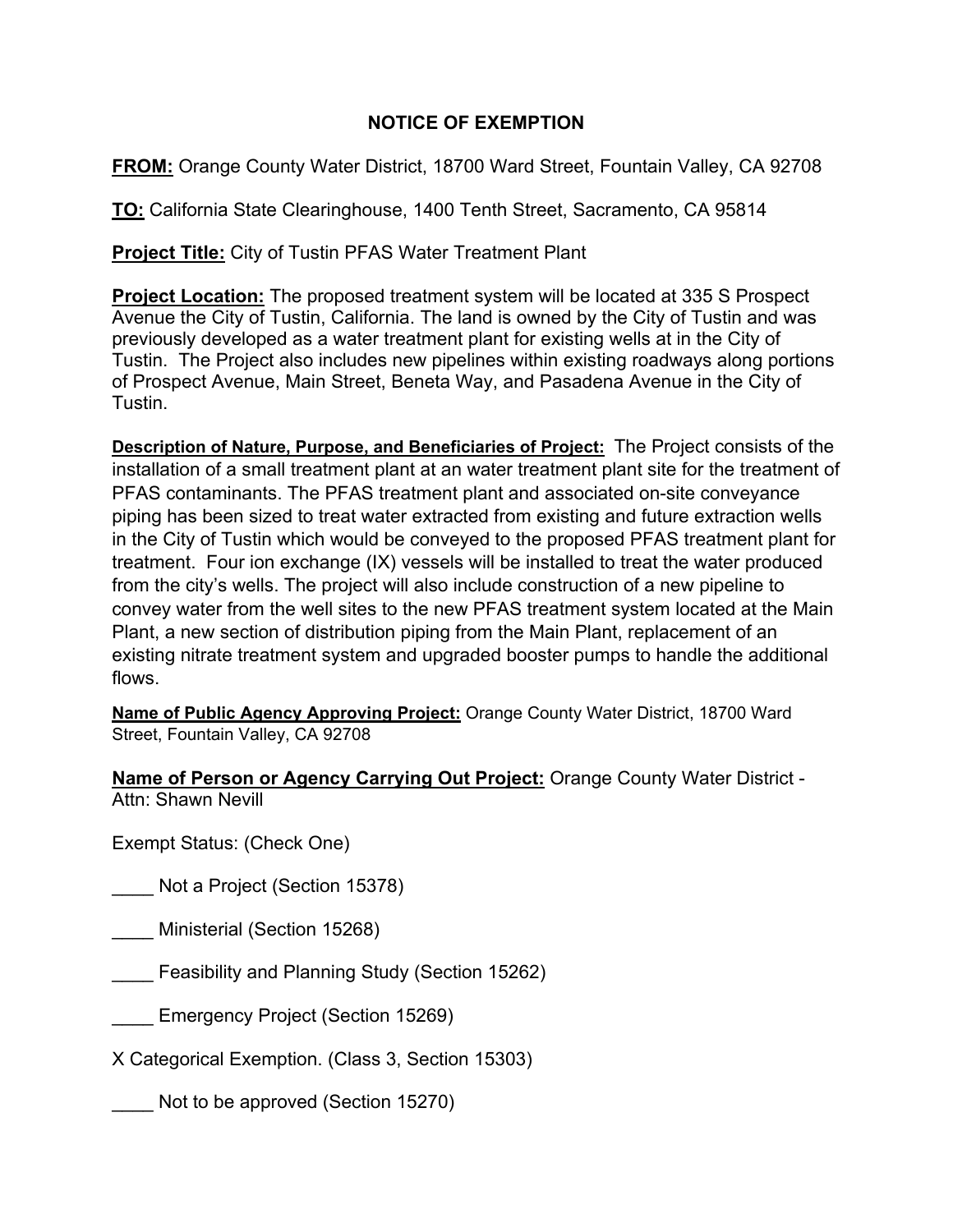## **NOTICE OF EXEMPTION**

**FROM:** Orange County Water District, 18700 Ward Street, Fountain Valley, CA 92708

**TO:** California State Clearinghouse, 1400 Tenth Street, Sacramento, CA 95814

**Project Title:** City of Tustin PFAS Water Treatment Plant

**Project Location:** The proposed treatment system will be located at 335 S Prospect Avenue the City of Tustin, California. The land is owned by the City of Tustin and was previously developed as a water treatment plant for existing wells at in the City of Tustin. The Project also includes new pipelines within existing roadways along portions of Prospect Avenue, Main Street, Beneta Way, and Pasadena Avenue in the City of Tustin.

**Description of Nature, Purpose, and Beneficiaries of Project:** The Project consists of the installation of a small treatment plant at an water treatment plant site for the treatment of PFAS contaminants. The PFAS treatment plant and associated on-site conveyance piping has been sized to treat water extracted from existing and future extraction wells in the City of Tustin which would be conveyed to the proposed PFAS treatment plant for treatment. Four ion exchange (IX) vessels will be installed to treat the water produced from the city's wells. The project will also include construction of a new pipeline to convey water from the well sites to the new PFAS treatment system located at the Main Plant, a new section of distribution piping from the Main Plant, replacement of an existing nitrate treatment system and upgraded booster pumps to handle the additional flows.

**Name of Public Agency Approving Project:** Orange County Water District, 18700 Ward Street, Fountain Valley, CA 92708

**Name of Person or Agency Carrying Out Project:** Orange County Water District - Attn: Shawn Nevill

Exempt Status: (Check One)

\_\_\_\_ Not a Project (Section 15378)

\_\_\_\_ Ministerial (Section 15268)

\_\_\_\_ Feasibility and Planning Study (Section 15262)

Emergency Project (Section 15269)

X Categorical Exemption. (Class 3, Section 15303)

Not to be approved (Section 15270)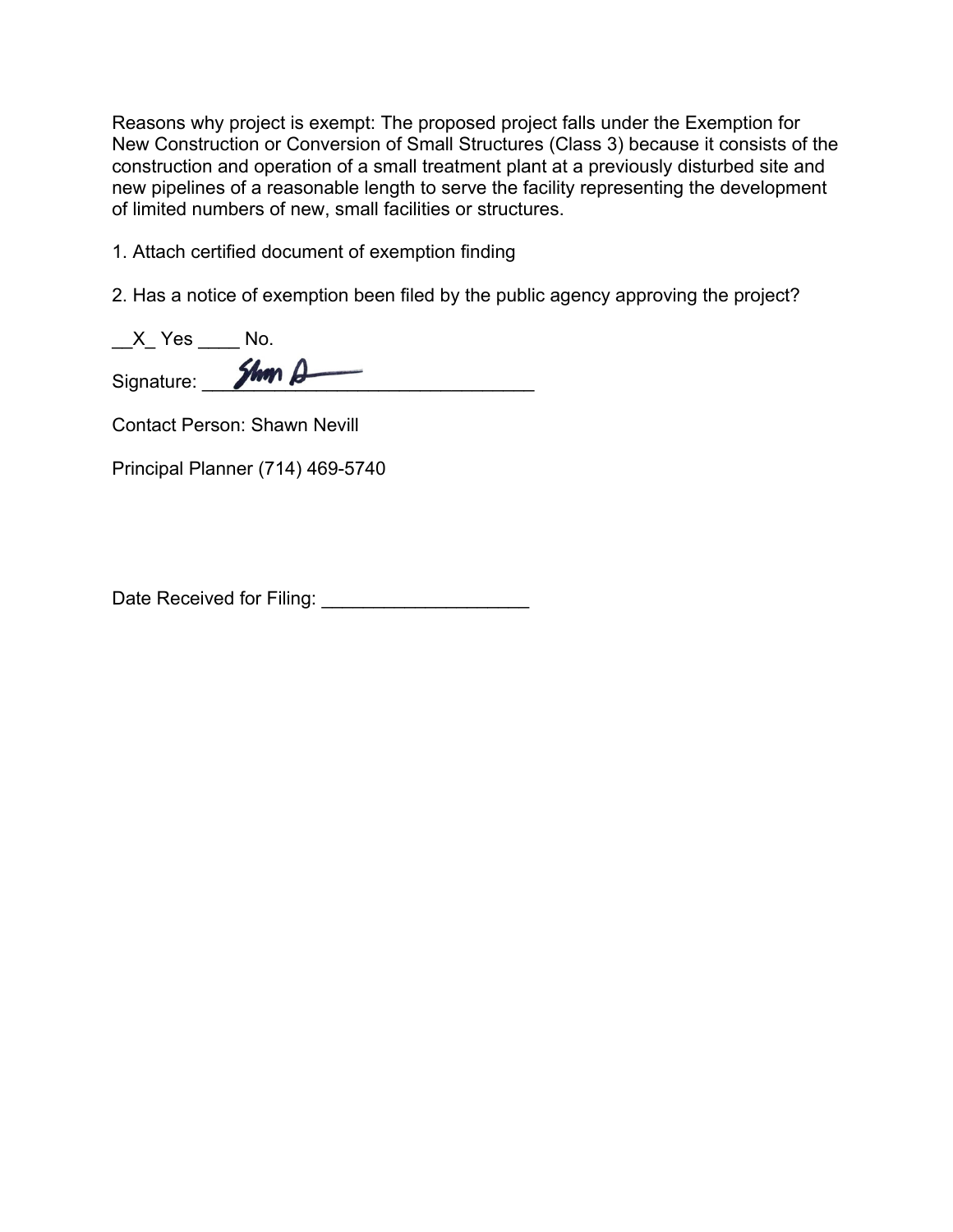Reasons why project is exempt: The proposed project falls under the Exemption for New Construction or Conversion of Small Structures (Class 3) because it consists of the construction and operation of a small treatment plant at a previously disturbed site and new pipelines of a reasonable length to serve the facility representing the development of limited numbers of new, small facilities or structures.

1. Attach certified document of exemption finding

2. Has a notice of exemption been filed by the public agency approving the project?

| X Yes      | NΩ            |
|------------|---------------|
| Signature: | $2$ <i>hm</i> |

Contact Person: Shawn Nevill

Principal Planner (714) 469-5740

Date Received for Filing: \_\_\_\_\_\_\_\_\_\_\_\_\_\_\_\_\_\_\_\_